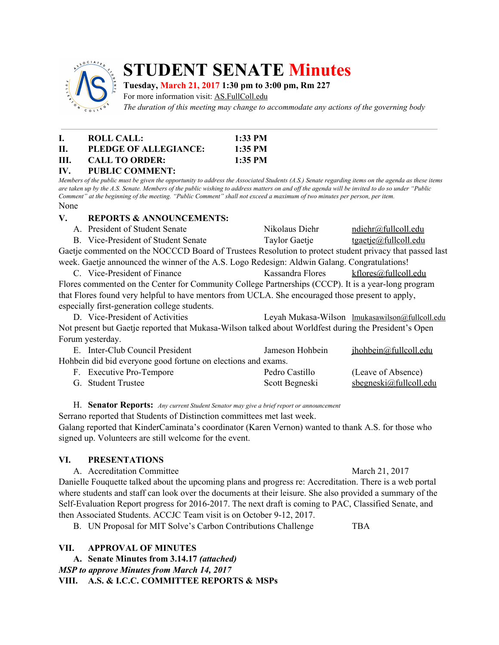

# **STUDENT SENATE Minutes**

## **Tuesday, March 21, 2017 1:30 pm to 3:00 pm, Rm 227**

For more information visit: AS.FullColl.edu

*The duration of this meeting may change to accommodate any actions of the governing body*

| L.  | ROLL CALL:            | $1:33$ PM |
|-----|-----------------------|-----------|
| H.  | PLEDGE OF ALLEGIANCE: | $1:35$ PM |
| HL. | <b>CALL TO ORDER:</b> | $1:35$ PM |
|     |                       |           |

**IV. PUBLIC COMMENT:** Members of the public must be given the opportunity to address the Associated Students (A.S.) Senate regarding items on the agenda as these items are taken up by the A.S. Senate. Members of the public wishing to address matters on and off the agenda will be invited to do so under "Public Comment" at the beginning of the meeting. "Public Comment" shall not exceed a maximum of two minutes per person, per item. None

#### **V. REPORTS & ANNOUNCEMENTS:**

| A. President of Student Senate      | Nikolaus Diehr | ndiehr@fullcoll.edu                                                                                                                 |
|-------------------------------------|----------------|-------------------------------------------------------------------------------------------------------------------------------------|
| B. Vice-President of Student Senate | Taylor Gaetje  | <u>tgaetje@fullcoll.edu</u>                                                                                                         |
|                                     |                | $\mathbf{r}$ and $\mathbf{r}$ and $\mathbf{r}$ and $\mathbf{r}$ and $\mathbf{r}$ and $\mathbf{r}$ and $\mathbf{r}$ and $\mathbf{r}$ |

Gaetje commented on the NOCCCD Board of Trustees Resolution to protect student privacy that passed last week. Gaetje announced the winner of the A.S. Logo Redesign: Aldwin Galang. Congratulations!

C. Vice-President of Finance Kassandra Flores [kflores@fullcoll.edu](mailto:kflores@fullcoll.edu) Flores commented on the Center for Community College Partnerships (CCCP). It is a year-long program that Flores found very helpful to have mentors from UCLA. She encouraged those present to apply, especially first-generation college students.

D. Vice-President of Activities Leyah Mukasa-Wilson [lmukasawilson@fullcoll.edu](mailto:lmukasawilson@fullcoll.edu) Not present but Gaetje reported that Mukasa-Wilson talked about Worldfest during the President's Open Forum yesterday.

| E. Inter-Club Council President                               | Jameson Hohbein | jhohbein@fullcoll.edu     |  |  |  |
|---------------------------------------------------------------|-----------------|---------------------------|--|--|--|
| Hohbein did bid everyone good fortune on elections and exams. |                 |                           |  |  |  |
| F. Executive Pro-Tempore                                      | Pedro Castillo  | (Leave of Absence)        |  |  |  |
| G. Student Trustee                                            | Scott Begneski  | $s$ begneski@fullcoll.edu |  |  |  |

#### H. **Senator Reports:** *Any current Student Senator may give <sup>a</sup> brief report or announcement*

Serrano reported that Students of Distinction committees met last week. Galang reported that KinderCaminata's coordinator (Karen Vernon) wanted to thank A.S. for those who signed up. Volunteers are still welcome for the event.

## **VI. PRESENTATIONS**

A. Accreditation Committee March 21, 2017 Danielle Fouquette talked about the upcoming plans and progress re: Accreditation. There is a web portal where students and staff can look over the documents at their leisure. She also provided a summary of the Self-Evaluation Report progress for 2016-2017. The next draft is coming to PAC, Classified Senate, and then Associated Students. ACCJC Team visit is on October 9-12, 2017.

B. UN Proposal for MIT Solve's Carbon Contributions Challenge TBA

## **VII. APPROVAL OF MINUTES**

**A. Senate Minutes from 3.14.17** *(attached) MSP to approve Minutes from March 14, 2017* **VIII. A.S. & I.C.C. COMMITTEE REPORTS & MSPs**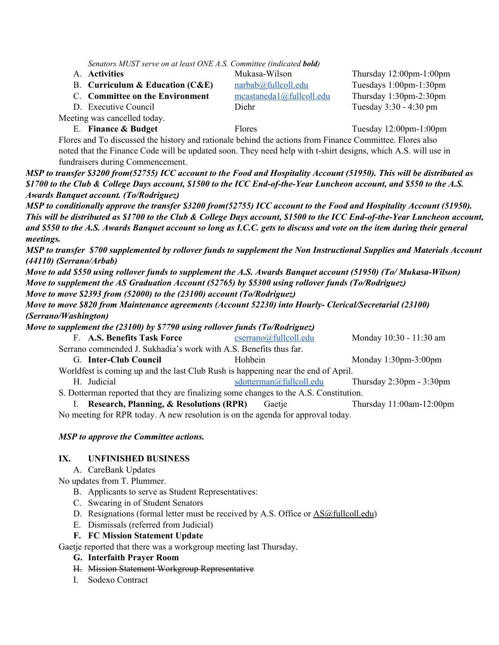*Senators MUST serve on at least ONE A.S. Committee (indicated bold)*

A. **Activities** Mukasa-Wilson Thursday 12:00pm-1:00pm

B. **Curriculum & Education (C&E)** [narbab@fullcoll.edu](mailto:narbab@fullcoll.edu) Tuesdays 1:00pm-1:30pm

C. **Committee on the Environment** [mcastaneda1@fullcoll.edu](mailto:mcastaneda1@fullcoll.edu) Thursday 1:30pm-2:30pm

Meeting was cancelled today.

D. Executive Council Diehr Diehr Tuesday 3:30 - 4:30 pm

E. **Finance & Budget** Flores Tuesday 12:00pm-1:00pm

Flores and To discussed the history and rationale behind the actions from Finance Committee. Flores also noted that the Finance Code will be updated soon. They need help with t-shirt designs, which A.S. will use in fundraisers during Commencement.

MSP to transfer \$3200 from(52755) ICC account to the Food and Hospitality Account (51950). This will be distributed as \$1700 to the Club & College Days account, \$1500 to the ICC End-of-the-Year Luncheon account, and \$550 to the A.S. *Awards Banquet account. (To/Rodriguez)*

MSP to conditionally approve the transfer \$3200 from(52755) ICC account to the Food and Hospitality Account (51950). This will be distributed as \$1700 to the Club & College Days account, \$1500 to the ICC End-of-the-Year Luncheon account, and \$550 to the A.S. Awards Banquet account so long as I.C.C. gets to discuss and vote on the item during their general *meetings.*

MSP to transfer \$700 supplemented by rollover funds to supplement the Non Instructional Supplies and Materials Account *(44110) (Serrano/Arbab)*

Move to add \$550 using rollover funds to supplement the A.S. Awards Banquet account (51950) (To/Mukasa-Wilson) *Move to supplement the AS Graduation Account (52765) by \$5300 using rollover funds (To/Rodriguez) Move to move \$2393 from (52000) to the (23100) account (To/Rodriguez)*

*Move to move \$820 from Maintenance agreements (Account 52230) into Hourly- Clerical/Secretarial (23100) (Serrano/Washington)*

*Move to supplement the (23100) by \$7790 using rollover funds (To/Rodriguez)*

| F. A.S. Benefits Task Force                                                                                                                                                                                                                                                                      | cserrano@fullcoll.edu   | Monday 10:30 - 11:30 am                    |  |  |  |  |
|--------------------------------------------------------------------------------------------------------------------------------------------------------------------------------------------------------------------------------------------------------------------------------------------------|-------------------------|--------------------------------------------|--|--|--|--|
| Serrano commended J. Sukhadia's work with A.S. Benefits thus far.                                                                                                                                                                                                                                |                         |                                            |  |  |  |  |
| G. Inter-Club Council                                                                                                                                                                                                                                                                            | <b>Hohbein</b>          | Monday $1:30$ pm- $3:00$ pm                |  |  |  |  |
| Worldfest is coming up and the last Club Rush is happening near the end of April.                                                                                                                                                                                                                |                         |                                            |  |  |  |  |
| H. Judicial                                                                                                                                                                                                                                                                                      | sdotterman@fullcoll.edu | Thursday $2:30 \text{pm} - 3:30 \text{pm}$ |  |  |  |  |
| S. Dotterman reported that they are finalizing some changes to the A.S. Constitution.                                                                                                                                                                                                            |                         |                                            |  |  |  |  |
| I. Research, Planning, & Resolutions (RPR)                                                                                                                                                                                                                                                       | Gaetje                  | Thursday 11:00am-12:00pm                   |  |  |  |  |
| $\mathbf{M}$ and $\mathbf{M}$ and $\mathbf{M}$ and $\mathbf{M}$ and $\mathbf{M}$ and $\mathbf{M}$ and $\mathbf{M}$ and $\mathbf{M}$ and $\mathbf{M}$ and $\mathbf{M}$ and $\mathbf{M}$ and $\mathbf{M}$ and $\mathbf{M}$ and $\mathbf{M}$ and $\mathbf{M}$ and $\mathbf{M}$ and $\mathbf{M}$ and |                         |                                            |  |  |  |  |

No meeting for RPR today. A new resolution is on the agenda for approval today.

*MSP to approve the Committee actions.*

## **IX. UNFINISHED BUSINESS**

A. CareBank Updates

No updates from T. Plummer.

- B. Applicants to serve as Student Representatives:
- C. Swearing in of Student Senators
- D. Resignations (formal letter must be received by A.S. Office or  $\Delta S(\hat{\omega}$  fullcoll.edu)
- E. Dismissals (referred from Judicial)
- **F. FC Mission Statement Update**

Gaetje reported that there was a workgroup meeting last Thursday.

- **G. Interfaith Prayer Room**
- H. Mission Statement Workgroup Representative
- I. Sodexo Contract